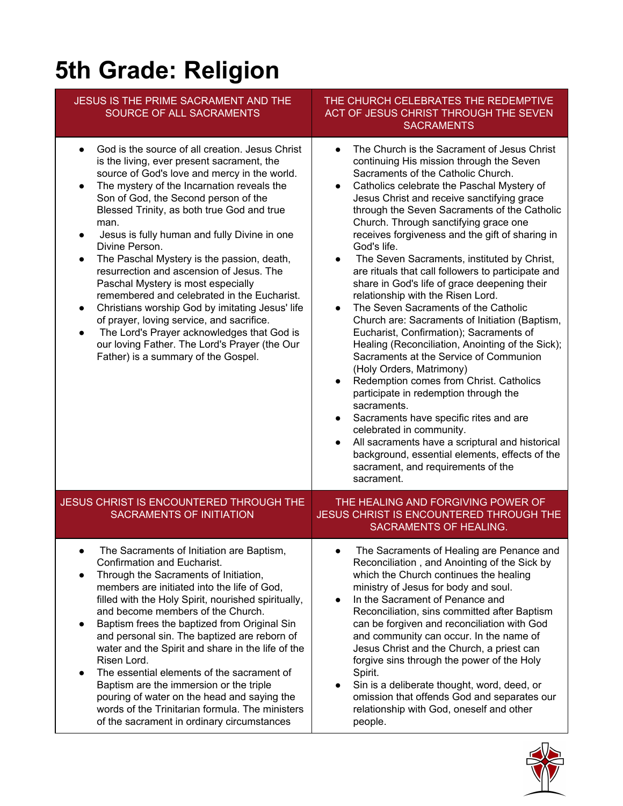# **5th Grade: Religion**

#### JESUS IS THE PRIME SACRAMENT AND THE SOURCE OF ALL SACRAMENTS

#### ● God is the source of all creation. Jesus Christ is the living, ever present sacrament, the source of God's love and mercy in the world.

- The mystery of the Incarnation reveals the Son of God, the Second person of the Blessed Trinity, as both true God and true man.
- Jesus is fully human and fully Divine in one Divine Person.
- The Paschal Mystery is the passion, death, resurrection and ascension of Jesus. The Paschal Mystery is most especially remembered and celebrated in the Eucharist.
- Christians worship God by imitating Jesus' life of prayer, loving service, and sacrifice.
- The Lord's Prayer acknowledges that God is our loving Father. The Lord's Prayer (the Our Father) is a summary of the Gospel.

words of the Trinitarian formula. The ministers of the sacrament in ordinary circumstances

### THE CHURCH CELEBRATES THE REDEMPTIVE ACT OF JESUS CHRIST THROUGH THE SEVEN **SACRAMENTS**

- The Church is the Sacrament of Jesus Christ continuing His mission through the Seven Sacraments of the Catholic Church.
- Catholics celebrate the Paschal Mystery of Jesus Christ and receive sanctifying grace through the Seven Sacraments of the Catholic Church. Through sanctifying grace one receives forgiveness and the gift of sharing in God's life.
- The Seven Sacraments, instituted by Christ, are rituals that call followers to participate and share in God's life of grace deepening their relationship with the Risen Lord.
- The Seven Sacraments of the Catholic Church are: Sacraments of Initiation (Baptism, Eucharist, Confirmation); Sacraments of Healing (Reconciliation, Anointing of the Sick); Sacraments at the Service of Communion (Holy Orders, Matrimony)
- Redemption comes from Christ. Catholics participate in redemption through the sacraments.
- Sacraments have specific rites and are celebrated in community.
- All sacraments have a scriptural and historical background, essential elements, effects of the sacrament, and requirements of the sacrament.

relationship with God, oneself and other

people.

#### JESUS CHRIST IS ENCOUNTERED THROUGH THE SACRAMENTS OF INITIATION THE HEALING AND FORGIVING POWER OF JESUS CHRIST IS ENCOUNTERED THROUGH THE SACRAMENTS OF HEALING. ● The Sacraments of Initiation are Baptism, Confirmation and Eucharist. ● Through the Sacraments of Initiation, members are initiated into the life of God, filled with the Holy Spirit, nourished spiritually, and become members of the Church. ● Baptism frees the baptized from Original Sin and personal sin. The baptized are reborn of water and the Spirit and share in the life of the Risen Lord. ● The essential elements of the sacrament of Baptism are the immersion or the triple pouring of water on the head and saying the ● The Sacraments of Healing are Penance and Reconciliation , and Anointing of the Sick by which the Church continues the healing ministry of Jesus for body and soul. In the Sacrament of Penance and Reconciliation, sins committed after Baptism can be forgiven and reconciliation with God and community can occur. In the name of Jesus Christ and the Church, a priest can forgive sins through the power of the Holy Spirit. Sin is a deliberate thought, word, deed, or omission that offends God and separates our

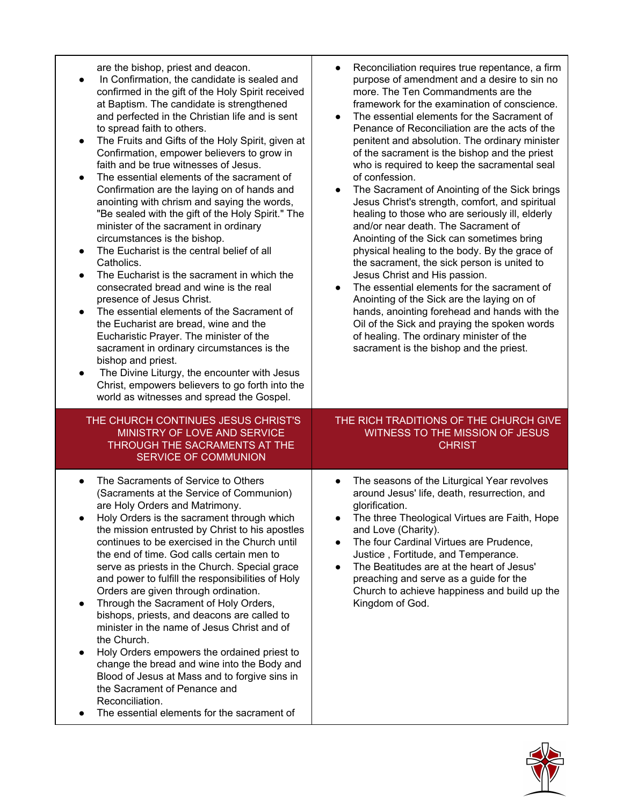| are the bishop, priest and deacon.<br>In Confirmation, the candidate is sealed and<br>confirmed in the gift of the Holy Spirit received<br>at Baptism. The candidate is strengthened<br>and perfected in the Christian life and is sent<br>to spread faith to others.<br>The Fruits and Gifts of the Holy Spirit, given at<br>$\bullet$<br>Confirmation, empower believers to grow in<br>faith and be true witnesses of Jesus.<br>The essential elements of the sacrament of<br>$\bullet$<br>Confirmation are the laying on of hands and<br>anointing with chrism and saying the words,<br>"Be sealed with the gift of the Holy Spirit." The<br>minister of the sacrament in ordinary<br>circumstances is the bishop.<br>The Eucharist is the central belief of all<br>$\bullet$<br>Catholics.<br>The Eucharist is the sacrament in which the<br>$\bullet$<br>consecrated bread and wine is the real<br>presence of Jesus Christ.<br>The essential elements of the Sacrament of<br>$\bullet$<br>the Eucharist are bread, wine and the<br>Eucharistic Prayer. The minister of the<br>sacrament in ordinary circumstances is the<br>bishop and priest.<br>The Divine Liturgy, the encounter with Jesus<br>$\bullet$<br>Christ, empowers believers to go forth into the<br>world as witnesses and spread the Gospel. | Reconciliation requires true repentance, a firm<br>purpose of amendment and a desire to sin no<br>more. The Ten Commandments are the<br>framework for the examination of conscience.<br>The essential elements for the Sacrament of<br>$\bullet$<br>Penance of Reconciliation are the acts of the<br>penitent and absolution. The ordinary minister<br>of the sacrament is the bishop and the priest<br>who is required to keep the sacramental seal<br>of confession.<br>The Sacrament of Anointing of the Sick brings<br>$\bullet$<br>Jesus Christ's strength, comfort, and spiritual<br>healing to those who are seriously ill, elderly<br>and/or near death. The Sacrament of<br>Anointing of the Sick can sometimes bring<br>physical healing to the body. By the grace of<br>the sacrament, the sick person is united to<br>Jesus Christ and His passion.<br>The essential elements for the sacrament of<br>Anointing of the Sick are the laying on of<br>hands, anointing forehead and hands with the<br>Oil of the Sick and praying the spoken words<br>of healing. The ordinary minister of the<br>sacrament is the bishop and the priest. |
|-------------------------------------------------------------------------------------------------------------------------------------------------------------------------------------------------------------------------------------------------------------------------------------------------------------------------------------------------------------------------------------------------------------------------------------------------------------------------------------------------------------------------------------------------------------------------------------------------------------------------------------------------------------------------------------------------------------------------------------------------------------------------------------------------------------------------------------------------------------------------------------------------------------------------------------------------------------------------------------------------------------------------------------------------------------------------------------------------------------------------------------------------------------------------------------------------------------------------------------------------------------------------------------------------------------------|-----------------------------------------------------------------------------------------------------------------------------------------------------------------------------------------------------------------------------------------------------------------------------------------------------------------------------------------------------------------------------------------------------------------------------------------------------------------------------------------------------------------------------------------------------------------------------------------------------------------------------------------------------------------------------------------------------------------------------------------------------------------------------------------------------------------------------------------------------------------------------------------------------------------------------------------------------------------------------------------------------------------------------------------------------------------------------------------------------------------------------------------------------|
| THE CHURCH CONTINUES JESUS CHRIST'S<br>MINISTRY OF LOVE AND SERVICE<br>THROUGH THE SACRAMENTS AT THE<br>SERVICE OF COMMUNION                                                                                                                                                                                                                                                                                                                                                                                                                                                                                                                                                                                                                                                                                                                                                                                                                                                                                                                                                                                                                                                                                                                                                                                      | THE RICH TRADITIONS OF THE CHURCH GIVE<br>WITNESS TO THE MISSION OF JESUS<br><b>CHRIST</b>                                                                                                                                                                                                                                                                                                                                                                                                                                                                                                                                                                                                                                                                                                                                                                                                                                                                                                                                                                                                                                                          |
| The Sacraments of Service to Others<br>$\bullet$<br>(Sacraments at the Service of Communion)<br>are Holy Orders and Matrimony.<br>Holy Orders is the sacrament through which<br>the mission entrusted by Christ to his apostles<br>continues to be exercised in the Church until<br>the end of time. God calls certain men to<br>serve as priests in the Church. Special grace<br>and power to fulfill the responsibilities of Holy<br>Orders are given through ordination.<br>Through the Sacrament of Holy Orders,<br>$\bullet$<br>bishops, priests, and deacons are called to<br>minister in the name of Jesus Christ and of<br>the Church.<br>Holy Orders empowers the ordained priest to<br>$\bullet$<br>change the bread and wine into the Body and<br>Blood of Jesus at Mass and to forgive sins in<br>the Sacrament of Penance and<br>Reconciliation.<br>The essential elements for the sacrament of                                                                                                                                                                                                                                                                                                                                                                                                      | The seasons of the Liturgical Year revolves<br>around Jesus' life, death, resurrection, and<br>glorification.<br>The three Theological Virtues are Faith, Hope<br>and Love (Charity).<br>The four Cardinal Virtues are Prudence,<br>$\bullet$<br>Justice, Fortitude, and Temperance.<br>The Beatitudes are at the heart of Jesus'<br>$\bullet$<br>preaching and serve as a guide for the<br>Church to achieve happiness and build up the<br>Kingdom of God.                                                                                                                                                                                                                                                                                                                                                                                                                                                                                                                                                                                                                                                                                         |

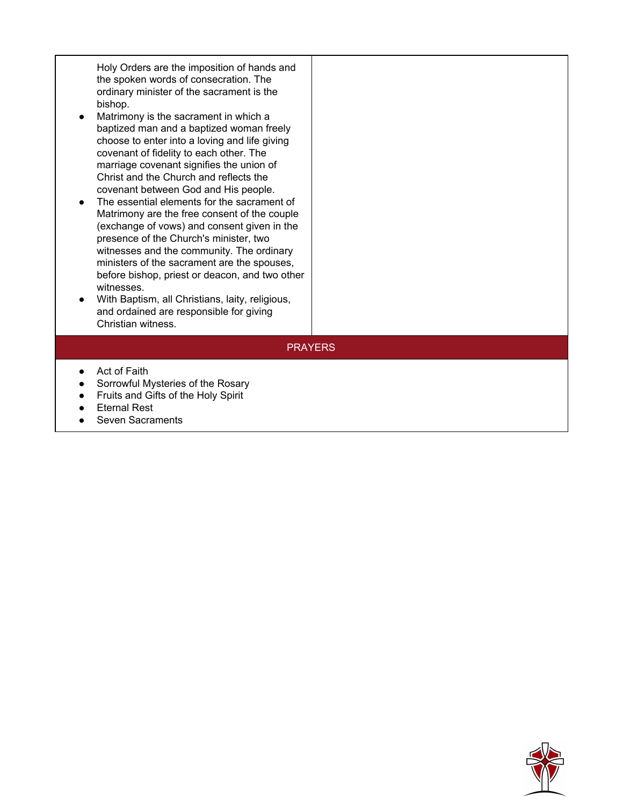| Matrimony are the free consent of the couple<br>(exchange of vows) and consent given in the<br>presence of the Church's minister, two<br>witnesses and the community. The ordinary<br>ministers of the sacrament are the spouses,<br>before bishop, priest or deacon, and two other<br>witnesses.<br>With Baptism, all Christians, laity, religious,<br>and ordained are responsible for giving<br>Christian witness.                                                                                      |  |
|------------------------------------------------------------------------------------------------------------------------------------------------------------------------------------------------------------------------------------------------------------------------------------------------------------------------------------------------------------------------------------------------------------------------------------------------------------------------------------------------------------|--|
| Holy Orders are the imposition of hands and<br>the spoken words of consecration. The<br>ordinary minister of the sacrament is the<br>bishop.<br>Matrimony is the sacrament in which a<br>baptized man and a baptized woman freely<br>choose to enter into a loving and life giving<br>covenant of fidelity to each other. The<br>marriage covenant signifies the union of<br>Christ and the Church and reflects the<br>covenant between God and His people.<br>The essential elements for the sacrament of |  |

• Seven Sacraments

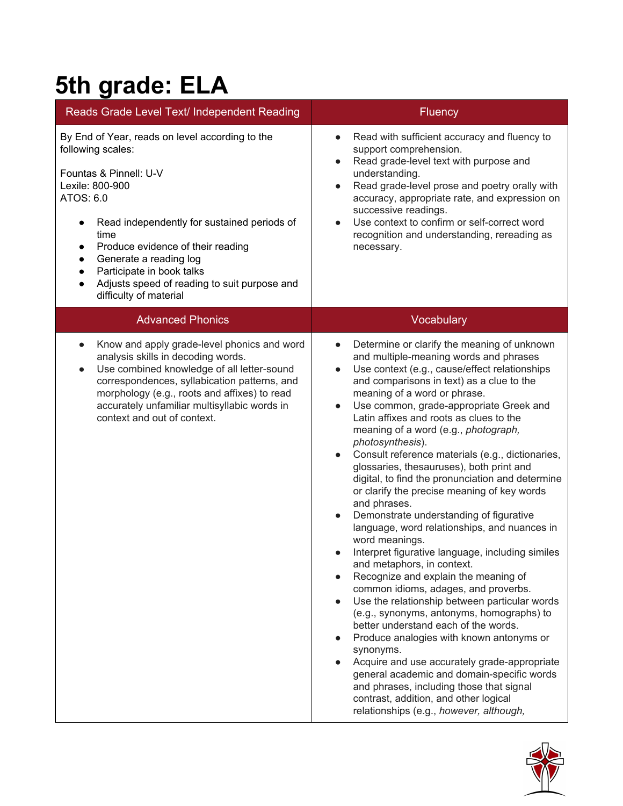## **5th grade: ELA**

| Reads Grade Level Text/ Independent Reading                                                                                                                                                                                                                                                                                                                 | <b>Fluency</b>                                                                                                                                                                                                                                                                                                                                                                                                                                                                                                                                                                                                                                                                                                                                                                                                                                                                                                                                                                                                                                                                                                                                                                                                                                                                                                                                                        |
|-------------------------------------------------------------------------------------------------------------------------------------------------------------------------------------------------------------------------------------------------------------------------------------------------------------------------------------------------------------|-----------------------------------------------------------------------------------------------------------------------------------------------------------------------------------------------------------------------------------------------------------------------------------------------------------------------------------------------------------------------------------------------------------------------------------------------------------------------------------------------------------------------------------------------------------------------------------------------------------------------------------------------------------------------------------------------------------------------------------------------------------------------------------------------------------------------------------------------------------------------------------------------------------------------------------------------------------------------------------------------------------------------------------------------------------------------------------------------------------------------------------------------------------------------------------------------------------------------------------------------------------------------------------------------------------------------------------------------------------------------|
| By End of Year, reads on level according to the<br>following scales:<br>Fountas & Pinnell: U-V<br>Lexile: 800-900<br>ATOS: 6.0<br>Read independently for sustained periods of<br>time<br>Produce evidence of their reading<br>Generate a reading log<br>Participate in book talks<br>Adjusts speed of reading to suit purpose and<br>difficulty of material | Read with sufficient accuracy and fluency to<br>$\bullet$<br>support comprehension.<br>Read grade-level text with purpose and<br>$\bullet$<br>understanding.<br>Read grade-level prose and poetry orally with<br>$\bullet$<br>accuracy, appropriate rate, and expression on<br>successive readings.<br>Use context to confirm or self-correct word<br>$\bullet$<br>recognition and understanding, rereading as<br>necessary.                                                                                                                                                                                                                                                                                                                                                                                                                                                                                                                                                                                                                                                                                                                                                                                                                                                                                                                                          |
| <b>Advanced Phonics</b>                                                                                                                                                                                                                                                                                                                                     | Vocabulary                                                                                                                                                                                                                                                                                                                                                                                                                                                                                                                                                                                                                                                                                                                                                                                                                                                                                                                                                                                                                                                                                                                                                                                                                                                                                                                                                            |
| Know and apply grade-level phonics and word<br>$\bullet$<br>analysis skills in decoding words.<br>Use combined knowledge of all letter-sound<br>$\bullet$<br>correspondences, syllabication patterns, and<br>morphology (e.g., roots and affixes) to read<br>accurately unfamiliar multisyllabic words in<br>context and out of context.                    | Determine or clarify the meaning of unknown<br>$\bullet$<br>and multiple-meaning words and phrases<br>Use context (e.g., cause/effect relationships<br>$\bullet$<br>and comparisons in text) as a clue to the<br>meaning of a word or phrase.<br>Use common, grade-appropriate Greek and<br>$\bullet$<br>Latin affixes and roots as clues to the<br>meaning of a word (e.g., photograph,<br>photosynthesis).<br>Consult reference materials (e.g., dictionaries,<br>glossaries, thesauruses), both print and<br>digital, to find the pronunciation and determine<br>or clarify the precise meaning of key words<br>and phrases.<br>Demonstrate understanding of figurative<br>language, word relationships, and nuances in<br>word meanings.<br>Interpret figurative language, including similes<br>and metaphors, in context.<br>Recognize and explain the meaning of<br>$\bullet$<br>common idioms, adages, and proverbs.<br>Use the relationship between particular words<br>$\bullet$<br>(e.g., synonyms, antonyms, homographs) to<br>better understand each of the words.<br>Produce analogies with known antonyms or<br>synonyms.<br>Acquire and use accurately grade-appropriate<br>general academic and domain-specific words<br>and phrases, including those that signal<br>contrast, addition, and other logical<br>relationships (e.g., however, although, |

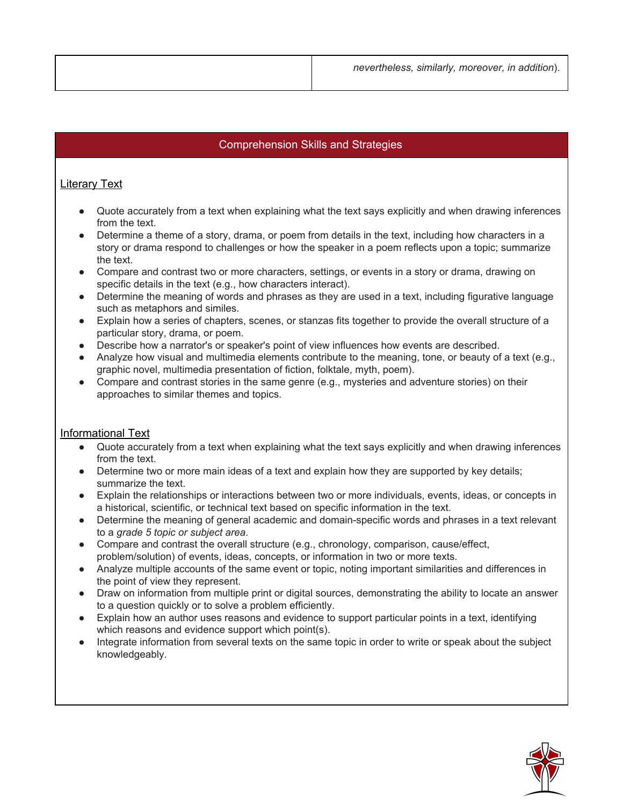### Comprehension Skills and Strategies

### **Literary Text**

- Quote accurately from a text when explaining what the text says explicitly and when drawing inferences from the text.
- Determine a theme of a story, drama, or poem from details in the text, including how characters in a story or drama respond to challenges or how the speaker in a poem reflects upon a topic; summarize the text.
- Compare and contrast two or more characters, settings, or events in a story or drama, drawing on specific details in the text (e.g., how characters interact).
- Determine the meaning of words and phrases as they are used in a text, including figurative language such as metaphors and similes.
- Explain how a series of chapters, scenes, or stanzas fits together to provide the overall structure of a particular story, drama, or poem.
- Describe how a narrator's or speaker's point of view influences how events are described.
- Analyze how visual and multimedia elements contribute to the meaning, tone, or beauty of a text (e.g., graphic novel, multimedia presentation of fiction, folktale, myth, poem).
- Compare and contrast stories in the same genre (e.g., mysteries and adventure stories) on their approaches to similar themes and topics.

#### Informational Text

- Quote accurately from a text when explaining what the text says explicitly and when drawing inferences from the text.
- Determine two or more main ideas of a text and explain how they are supported by key details; summarize the text[.](http://www.corestandards.org/ELA-Literacy/RI/5/3/)
- Explain the relationships or interactions between two or more individuals, events, ideas, or concepts in a historical, scientific, or technical text based on specific information in the text[.](http://www.corestandards.org/ELA-Literacy/RI/5/4/)
- Determine the meaning of general academic and domain-specific words and phrases in a text relevant to a *grade 5 topic or subject area*.
- Compare and contrast the overall structure (e.g., chronology, comparison, cause/effect, problem/solution) of events, ideas, concepts, or information in two or more texts.
- Analyze multiple accounts of the same event or topic, noting important similarities and differences in the point of view they represent.
- Draw on information from multiple print or digital sources, demonstrating the ability to locate an answer to a question quickly or to solve a problem efficiently[.](http://www.corestandards.org/ELA-Literacy/RI/5/8/)
- Explain how an author uses reasons and evidence to support particular points in a text, identifying which reasons and evidence support which point(s).
- Integrate information from several texts on the same topic in order to write or speak about the subject knowledgeably.

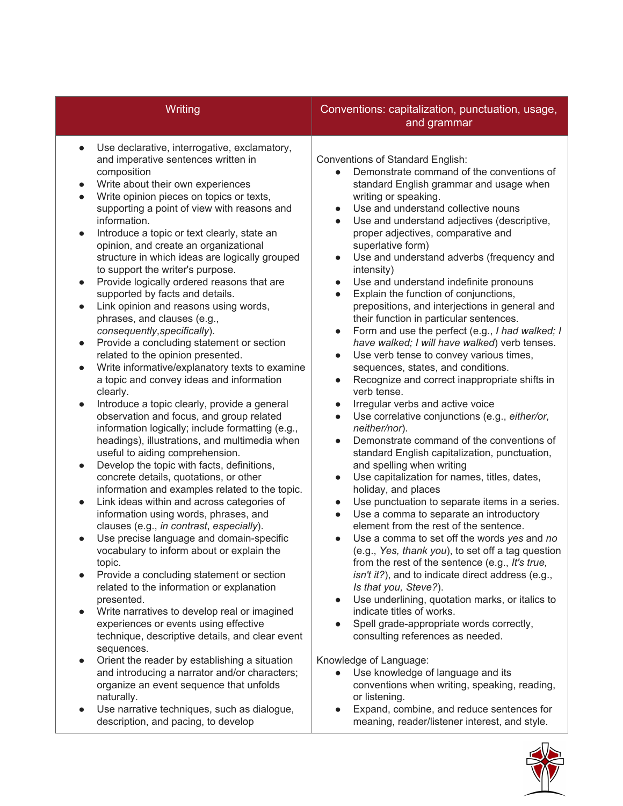| Writing                                                                                                                                                                                                                                                                                                                                                                                                                                                                                                                                                                                                                                                                                                                                                                                                                                                                                                                                                                                                                                                                                                                                                                                                                                                                                                                                                                                                                                                                                                                                                                                                                                                                                                                                                                                                                                                                              | Conventions: capitalization, punctuation, usage,<br>and grammar                                                                                                                                                                                                                                                                                                                                                                                                                                                                                                                                                                                                                                                                                                                                                                                                                                                                                                                                                                                                                                                                                                                                                                                                                                                                                                                                                                                                                                                                                                                                                                                                                                                                                          |
|--------------------------------------------------------------------------------------------------------------------------------------------------------------------------------------------------------------------------------------------------------------------------------------------------------------------------------------------------------------------------------------------------------------------------------------------------------------------------------------------------------------------------------------------------------------------------------------------------------------------------------------------------------------------------------------------------------------------------------------------------------------------------------------------------------------------------------------------------------------------------------------------------------------------------------------------------------------------------------------------------------------------------------------------------------------------------------------------------------------------------------------------------------------------------------------------------------------------------------------------------------------------------------------------------------------------------------------------------------------------------------------------------------------------------------------------------------------------------------------------------------------------------------------------------------------------------------------------------------------------------------------------------------------------------------------------------------------------------------------------------------------------------------------------------------------------------------------------------------------------------------------|----------------------------------------------------------------------------------------------------------------------------------------------------------------------------------------------------------------------------------------------------------------------------------------------------------------------------------------------------------------------------------------------------------------------------------------------------------------------------------------------------------------------------------------------------------------------------------------------------------------------------------------------------------------------------------------------------------------------------------------------------------------------------------------------------------------------------------------------------------------------------------------------------------------------------------------------------------------------------------------------------------------------------------------------------------------------------------------------------------------------------------------------------------------------------------------------------------------------------------------------------------------------------------------------------------------------------------------------------------------------------------------------------------------------------------------------------------------------------------------------------------------------------------------------------------------------------------------------------------------------------------------------------------------------------------------------------------------------------------------------------------|
| Use declarative, interrogative, exclamatory,<br>$\bullet$<br>and imperative sentences written in<br>composition<br>Write about their own experiences<br>$\bullet$<br>Write opinion pieces on topics or texts,<br>$\bullet$<br>supporting a point of view with reasons and<br>information.<br>Introduce a topic or text clearly, state an<br>$\bullet$<br>opinion, and create an organizational<br>structure in which ideas are logically grouped<br>to support the writer's purpose.<br>Provide logically ordered reasons that are<br>$\bullet$<br>supported by facts and details.<br>Link opinion and reasons using words,<br>$\bullet$<br>phrases, and clauses (e.g.,<br>consequently, specifically).<br>Provide a concluding statement or section<br>$\bullet$<br>related to the opinion presented.<br>Write informative/explanatory texts to examine<br>$\bullet$<br>a topic and convey ideas and information<br>clearly.<br>Introduce a topic clearly, provide a general<br>$\bullet$<br>observation and focus, and group related<br>information logically; include formatting (e.g.,<br>headings), illustrations, and multimedia when<br>useful to aiding comprehension.<br>Develop the topic with facts, definitions,<br>$\bullet$<br>concrete details, quotations, or other<br>information and examples related to the topic.<br>Link ideas within and across categories of<br>$\bullet$<br>information using words, phrases, and<br>clauses (e.g., in contrast, especially).<br>Use precise language and domain-specific<br>vocabulary to inform about or explain the<br>topic.<br>Provide a concluding statement or section<br>$\bullet$<br>related to the information or explanation<br>presented.<br>Write narratives to develop real or imagined<br>$\bullet$<br>experiences or events using effective<br>technique, descriptive details, and clear event<br>sequences. | <b>Conventions of Standard English:</b><br>Demonstrate command of the conventions of<br>standard English grammar and usage when<br>writing or speaking.<br>Use and understand collective nouns<br>$\bullet$<br>Use and understand adjectives (descriptive,<br>proper adjectives, comparative and<br>superlative form)<br>Use and understand adverbs (frequency and<br>intensity)<br>Use and understand indefinite pronouns<br>$\bullet$<br>Explain the function of conjunctions,<br>prepositions, and interjections in general and<br>their function in particular sentences.<br>Form and use the perfect (e.g., I had walked; I<br>$\bullet$<br>have walked; I will have walked) verb tenses.<br>Use verb tense to convey various times,<br>sequences, states, and conditions.<br>Recognize and correct inappropriate shifts in<br>verb tense.<br>Irregular verbs and active voice<br>$\bullet$<br>Use correlative conjunctions (e.g., either/or,<br>$\bullet$<br>neither/nor).<br>Demonstrate command of the conventions of<br>standard English capitalization, punctuation,<br>and spelling when writing<br>Use capitalization for names, titles, dates,<br>$\bullet$<br>holiday, and places<br>Use punctuation to separate items in a series.<br>$\bullet$<br>Use a comma to separate an introductory<br>element from the rest of the sentence.<br>Use a comma to set off the words yes and no<br>(e.g., Yes, thank you), to set off a tag question<br>from the rest of the sentence (e.g., It's true,<br>isn't it?), and to indicate direct address (e.g.,<br>Is that you, Steve?).<br>Use underlining, quotation marks, or italics to<br>indicate titles of works.<br>Spell grade-appropriate words correctly,<br>consulting references as needed. |
| Orient the reader by establishing a situation<br>$\bullet$<br>and introducing a narrator and/or characters;<br>organize an event sequence that unfolds<br>naturally.<br>Use narrative techniques, such as dialogue,<br>$\bullet$<br>description, and pacing, to develop                                                                                                                                                                                                                                                                                                                                                                                                                                                                                                                                                                                                                                                                                                                                                                                                                                                                                                                                                                                                                                                                                                                                                                                                                                                                                                                                                                                                                                                                                                                                                                                                              | Knowledge of Language:<br>Use knowledge of language and its<br>conventions when writing, speaking, reading,<br>or listening.<br>Expand, combine, and reduce sentences for<br>meaning, reader/listener interest, and style.                                                                                                                                                                                                                                                                                                                                                                                                                                                                                                                                                                                                                                                                                                                                                                                                                                                                                                                                                                                                                                                                                                                                                                                                                                                                                                                                                                                                                                                                                                                               |

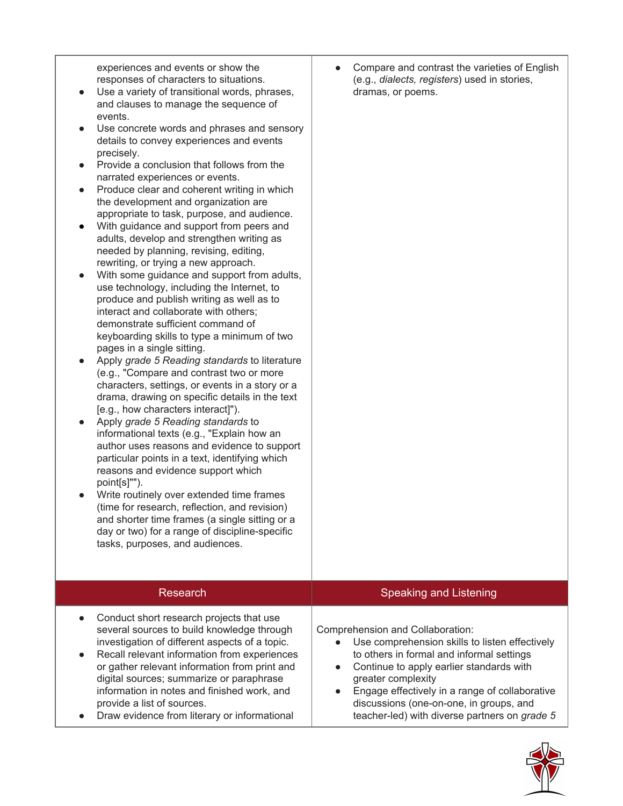experiences and events or show the responses of characters to situations.

- Use a variety of transitional words, phrases, and clauses to manage the sequence of events.
- Use concrete words and phrases and sensory details to convey experiences and events precisely[.](http://www.corestandards.org/ELA-Literacy/W/5/3/e/)
- Provide a conclusion that follows from the narrated experiences or events.
- Produce clear and coherent writing in which the development and organization are appropriate to task, purpose, and audience[.](http://www.corestandards.org/ELA-Literacy/W/5/5/)
- With guidance and support from peers and adults, develop and strengthen writing as needed by planning, revising, editing, rewriting, or trying a new approach.
- With some guidance and support from adults, use technology, including the Internet, to produce and publish writing as well as to interact and collaborate with others; demonstrate sufficient command of keyboarding skills to type a minimum of two pages in a single sitting.
- Apply *grade 5 Reading standards* to literature (e.g., "Compare and contrast two or more characters, settings, or events in a story or a drama, drawing on specific details in the text [e.g., how characters interact]")[.](http://www.corestandards.org/ELA-Literacy/W/5/9/b/)
- Apply *grade 5 Reading standards* to informational texts (e.g., "Explain how an author uses reasons and evidence to support particular points in a text, identifying which reasons and evidence support which point[s]"").
- Write routinely over extended time frames (time for research, reflection, and revision) and shorter time frames (a single sitting or a day or two) for a range of discipline-specific tasks, purposes, and audiences.

• Compare and contrast the varieties of English (e.g., *dialects, registers*) used in stories, dramas, or poems.

| <b>Research</b>                                                                                                                                                                                                                                                                                                                                                                                                                                           | <b>Speaking and Listening</b>                                                                                                                                                                                                                                                                                                                                                          |
|-----------------------------------------------------------------------------------------------------------------------------------------------------------------------------------------------------------------------------------------------------------------------------------------------------------------------------------------------------------------------------------------------------------------------------------------------------------|----------------------------------------------------------------------------------------------------------------------------------------------------------------------------------------------------------------------------------------------------------------------------------------------------------------------------------------------------------------------------------------|
| Conduct short research projects that use<br>$\bullet$<br>several sources to build knowledge through<br>investigation of different aspects of a topic.<br>Recall relevant information from experiences<br>$\bullet$<br>or gather relevant information from print and<br>digital sources; summarize or paraphrase<br>information in notes and finished work, and<br>provide a list of sources.<br>Draw evidence from literary or informational<br>$\bullet$ | Comprehension and Collaboration:<br>Use comprehension skills to listen effectively<br>$\bullet$<br>to others in formal and informal settings<br>Continue to apply earlier standards with<br>$\bullet$<br>greater complexity<br>Engage effectively in a range of collaborative<br>$\bullet$<br>discussions (one-on-one, in groups, and<br>teacher-led) with diverse partners on grade 5 |

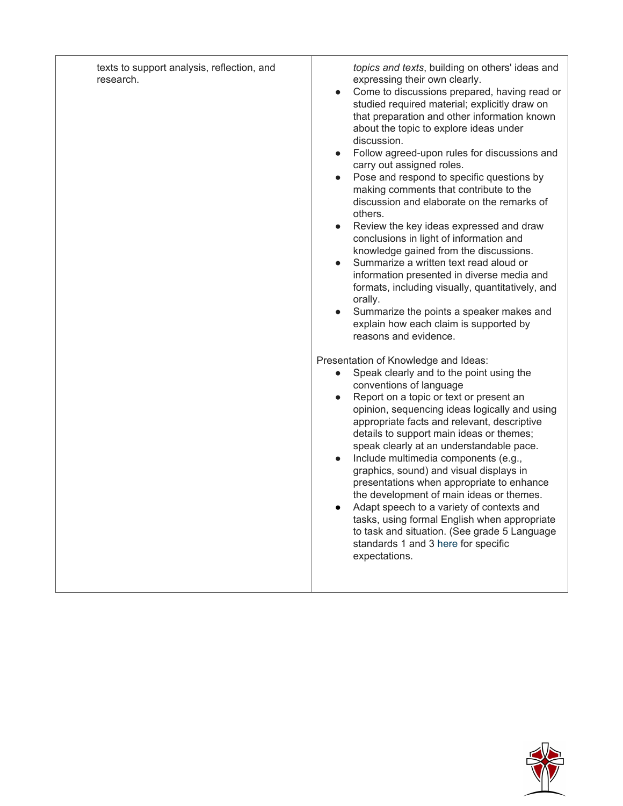| texts to support analysis, reflection, and<br>research. | topics and texts, building on others' ideas and<br>expressing their own clearly.<br>Come to discussions prepared, having read or<br>studied required material; explicitly draw on<br>that preparation and other information known<br>about the topic to explore ideas under<br>discussion.<br>Follow agreed-upon rules for discussions and<br>carry out assigned roles.<br>Pose and respond to specific questions by<br>making comments that contribute to the<br>discussion and elaborate on the remarks of<br>others.<br>Review the key ideas expressed and draw<br>conclusions in light of information and<br>knowledge gained from the discussions.<br>Summarize a written text read aloud or<br>information presented in diverse media and<br>formats, including visually, quantitatively, and<br>orally.<br>Summarize the points a speaker makes and<br>explain how each claim is supported by<br>reasons and evidence.<br>Presentation of Knowledge and Ideas:<br>Speak clearly and to the point using the<br>conventions of language<br>Report on a topic or text or present an<br>opinion, sequencing ideas logically and using<br>appropriate facts and relevant, descriptive<br>details to support main ideas or themes;<br>speak clearly at an understandable pace.<br>Include multimedia components (e.g.,<br>graphics, sound) and visual displays in<br>presentations when appropriate to enhance<br>the development of main ideas or themes.<br>Adapt speech to a variety of contexts and<br>tasks, using formal English when appropriate<br>to task and situation. (See grade 5 Language<br>standards 1 and 3 here for specific<br>expectations. |
|---------------------------------------------------------|------------------------------------------------------------------------------------------------------------------------------------------------------------------------------------------------------------------------------------------------------------------------------------------------------------------------------------------------------------------------------------------------------------------------------------------------------------------------------------------------------------------------------------------------------------------------------------------------------------------------------------------------------------------------------------------------------------------------------------------------------------------------------------------------------------------------------------------------------------------------------------------------------------------------------------------------------------------------------------------------------------------------------------------------------------------------------------------------------------------------------------------------------------------------------------------------------------------------------------------------------------------------------------------------------------------------------------------------------------------------------------------------------------------------------------------------------------------------------------------------------------------------------------------------------------------------------------------------------------------------------------------------------------------|
|---------------------------------------------------------|------------------------------------------------------------------------------------------------------------------------------------------------------------------------------------------------------------------------------------------------------------------------------------------------------------------------------------------------------------------------------------------------------------------------------------------------------------------------------------------------------------------------------------------------------------------------------------------------------------------------------------------------------------------------------------------------------------------------------------------------------------------------------------------------------------------------------------------------------------------------------------------------------------------------------------------------------------------------------------------------------------------------------------------------------------------------------------------------------------------------------------------------------------------------------------------------------------------------------------------------------------------------------------------------------------------------------------------------------------------------------------------------------------------------------------------------------------------------------------------------------------------------------------------------------------------------------------------------------------------------------------------------------------------|

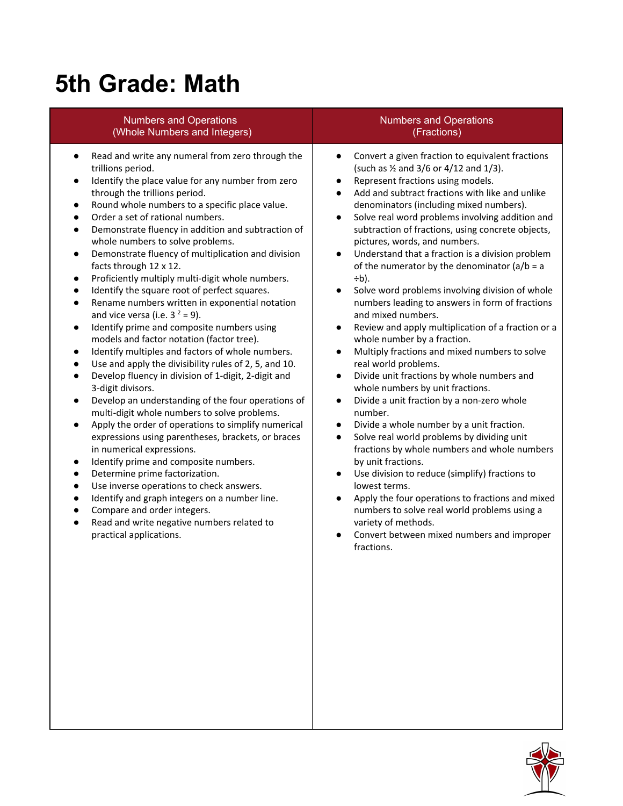## **5th Grade: Math**

#### Numbers and Operations (Whole Numbers and Integers) Numbers and Operations (Fractions) ● Read and write any numeral from zero through the trillions period. Identify the place value for any number from zero through the trillions period. Round whole numbers to a specific place value. Order a set of rational numbers. Demonstrate fluency in addition and subtraction of whole numbers to solve problems. ● Demonstrate fluency of multiplication and division facts through 12 x 12. ● Proficiently multiply multi-digit whole numbers. ● Identify the square root of perfect squares. ● Rename numbers written in exponential notation and vice versa (i.e.  $3^2 = 9$ ). ● Identify prime and composite numbers using models and factor notation (factor tree). Identify multiples and factors of whole numbers. Use and apply the divisibility rules of 2, 5, and 10. ● Develop fluency in division of 1-digit, 2-digit and 3-digit divisors. ● Develop an understanding of the four operations of multi-digit whole numbers to solve problems. Apply the order of operations to simplify numerical expressions using parentheses, brackets, or braces in numerical expressions. ● Identify prime and composite numbers. ● Determine prime factorization. Use inverse operations to check answers. ● Identify and graph integers on a number line. Compare and order integers. ● Read and write negative numbers related to practical applications. ● Convert a given fraction to equivalent fractions (such as ½ and 3/6 or 4/12 and 1/3). Represent fractions using models. ● Add and subtract fractions with like and unlike denominators (including mixed numbers). ● Solve real word problems involving addition and subtraction of fractions, using concrete objects, pictures, words, and numbers. ● Understand that a fraction is a division problem of the numerator by the denominator  $(a/b = a$ ÷b). ● Solve word problems involving division of whole numbers leading to answers in form of fractions and mixed numbers. ● Review and apply multiplication of a fraction or a whole number by a fraction. Multiply fractions and mixed numbers to solve real world problems. ● Divide unit fractions by whole numbers and whole numbers by unit fractions. ● Divide a unit fraction by a non-zero whole number. Divide a whole number by a unit fraction. Solve real world problems by dividing unit fractions by whole numbers and whole numbers by unit fractions. ● Use division to reduce (simplify) fractions to lowest terms. ● Apply the four operations to fractions and mixed numbers to solve real world problems using a variety of methods. ● Convert between mixed numbers and improper fractions.

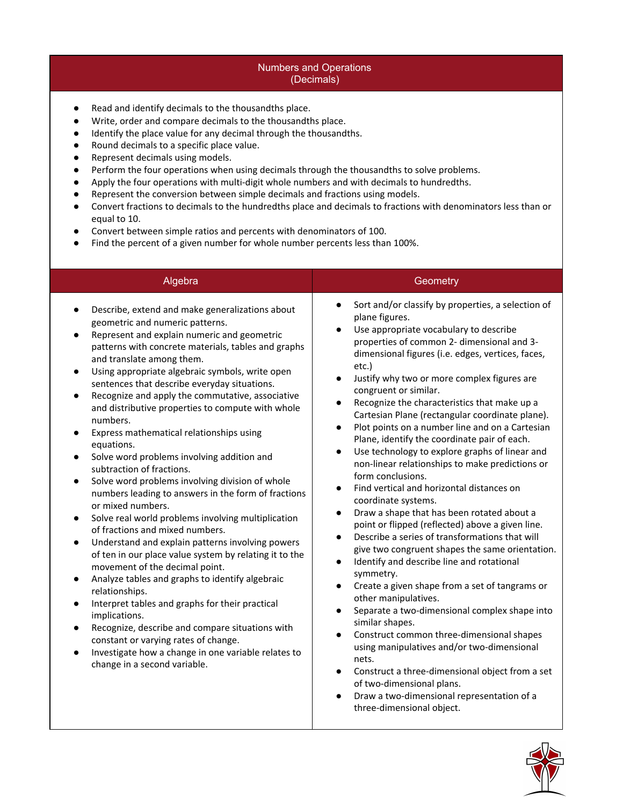#### Numbers and Operations (Decimals)

- Read and identify decimals to the thousandths place.
- Write, order and compare decimals to the thousandths place.
- Identify the place value for any decimal through the thousandths.
- Round decimals to a specific place value.
- Represent decimals using models.
- Perform the four operations when using decimals through the thousandths to solve problems.
- Apply the four operations with multi-digit whole numbers and with decimals to hundredths.
- Represent the conversion between simple decimals and fractions using models.
- Convert fractions to decimals to the hundredths place and decimals to fractions with denominators less than or equal to 10.
- Convert between simple ratios and percents with denominators of 100.
- Find the percent of a given number for whole number percents less than 100%.

| Algebra                                                                                                                                                                                                                                                                                                                                                                                                                                                                                                                                                                                                                                                                                                                                                                                                                                                                                                                                                                                                                                                                                                                                                                                                                                                                                                                                                                                                                                                        | Geometry                                                                                                                                                                                                                                                                                                                                                                                                                                                                                                                                                                                                                                                                                                                                                                                                                                                                                                                                                                                                                                                                                                                                                                                                                                                                                                                                                                                                                                                                                                                            |
|----------------------------------------------------------------------------------------------------------------------------------------------------------------------------------------------------------------------------------------------------------------------------------------------------------------------------------------------------------------------------------------------------------------------------------------------------------------------------------------------------------------------------------------------------------------------------------------------------------------------------------------------------------------------------------------------------------------------------------------------------------------------------------------------------------------------------------------------------------------------------------------------------------------------------------------------------------------------------------------------------------------------------------------------------------------------------------------------------------------------------------------------------------------------------------------------------------------------------------------------------------------------------------------------------------------------------------------------------------------------------------------------------------------------------------------------------------------|-------------------------------------------------------------------------------------------------------------------------------------------------------------------------------------------------------------------------------------------------------------------------------------------------------------------------------------------------------------------------------------------------------------------------------------------------------------------------------------------------------------------------------------------------------------------------------------------------------------------------------------------------------------------------------------------------------------------------------------------------------------------------------------------------------------------------------------------------------------------------------------------------------------------------------------------------------------------------------------------------------------------------------------------------------------------------------------------------------------------------------------------------------------------------------------------------------------------------------------------------------------------------------------------------------------------------------------------------------------------------------------------------------------------------------------------------------------------------------------------------------------------------------------|
| Describe, extend and make generalizations about<br>$\bullet$<br>geometric and numeric patterns.<br>Represent and explain numeric and geometric<br>$\bullet$<br>patterns with concrete materials, tables and graphs<br>and translate among them.<br>Using appropriate algebraic symbols, write open<br>$\bullet$<br>sentences that describe everyday situations.<br>Recognize and apply the commutative, associative<br>$\bullet$<br>and distributive properties to compute with whole<br>numbers.<br>Express mathematical relationships using<br>$\bullet$<br>equations.<br>Solve word problems involving addition and<br>$\bullet$<br>subtraction of fractions.<br>Solve word problems involving division of whole<br>$\bullet$<br>numbers leading to answers in the form of fractions<br>or mixed numbers.<br>Solve real world problems involving multiplication<br>$\bullet$<br>of fractions and mixed numbers.<br>Understand and explain patterns involving powers<br>$\bullet$<br>of ten in our place value system by relating it to the<br>movement of the decimal point.<br>Analyze tables and graphs to identify algebraic<br>$\bullet$<br>relationships.<br>Interpret tables and graphs for their practical<br>$\bullet$<br>implications.<br>Recognize, describe and compare situations with<br>$\bullet$<br>constant or varying rates of change.<br>Investigate how a change in one variable relates to<br>$\bullet$<br>change in a second variable. | Sort and/or classify by properties, a selection of<br>plane figures.<br>Use appropriate vocabulary to describe<br>$\bullet$<br>properties of common 2- dimensional and 3-<br>dimensional figures (i.e. edges, vertices, faces,<br>etc.)<br>Justify why two or more complex figures are<br>congruent or similar.<br>Recognize the characteristics that make up a<br>$\bullet$<br>Cartesian Plane (rectangular coordinate plane).<br>Plot points on a number line and on a Cartesian<br>$\bullet$<br>Plane, identify the coordinate pair of each.<br>Use technology to explore graphs of linear and<br>$\bullet$<br>non-linear relationships to make predictions or<br>form conclusions.<br>Find vertical and horizontal distances on<br>$\bullet$<br>coordinate systems.<br>Draw a shape that has been rotated about a<br>$\bullet$<br>point or flipped (reflected) above a given line.<br>Describe a series of transformations that will<br>$\bullet$<br>give two congruent shapes the same orientation.<br>Identify and describe line and rotational<br>$\bullet$<br>symmetry.<br>Create a given shape from a set of tangrams or<br>$\bullet$<br>other manipulatives.<br>Separate a two-dimensional complex shape into<br>$\bullet$<br>similar shapes.<br>Construct common three-dimensional shapes<br>$\bullet$<br>using manipulatives and/or two-dimensional<br>nets.<br>Construct a three-dimensional object from a set<br>of two-dimensional plans.<br>Draw a two-dimensional representation of a<br>three-dimensional object. |

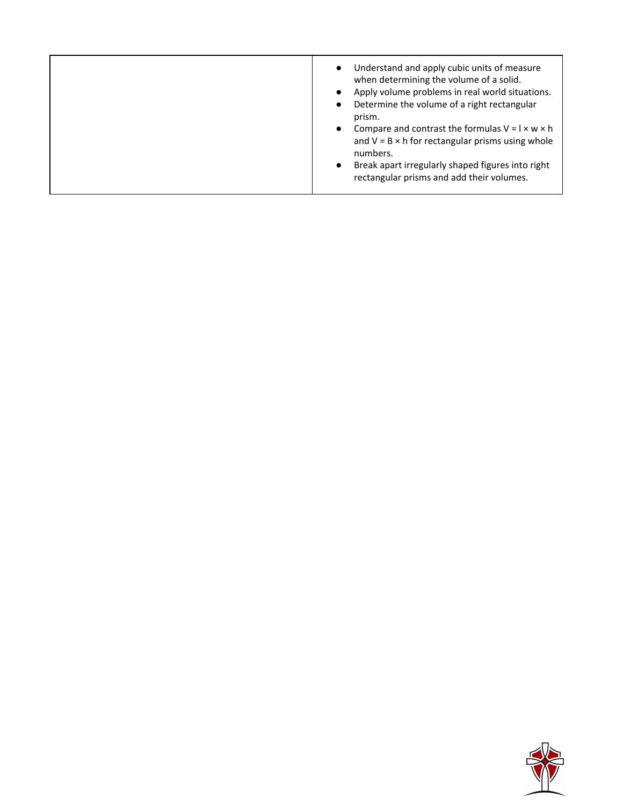|  | Understand and apply cubic units of measure<br>$\bullet$<br>when determining the volume of a solid.<br>Apply volume problems in real world situations.<br>$\bullet$<br>Determine the volume of a right rectangular<br>$\bullet$<br>prism.<br>Compare and contrast the formulas $V = I \times w \times h$<br>$\bullet$<br>and $V = B \times h$ for rectangular prisms using whole<br>numbers.<br>Break apart irregularly shaped figures into right<br>$\bullet$<br>rectangular prisms and add their volumes. |
|--|-------------------------------------------------------------------------------------------------------------------------------------------------------------------------------------------------------------------------------------------------------------------------------------------------------------------------------------------------------------------------------------------------------------------------------------------------------------------------------------------------------------|
|--|-------------------------------------------------------------------------------------------------------------------------------------------------------------------------------------------------------------------------------------------------------------------------------------------------------------------------------------------------------------------------------------------------------------------------------------------------------------------------------------------------------------|

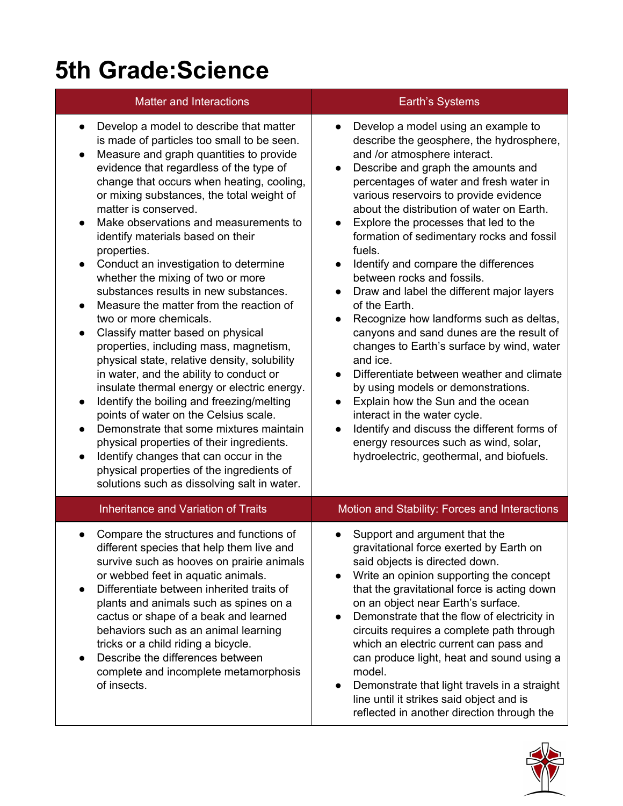## **5th Grade:Science**

| <b>Matter and Interactions</b>                                                                                                                                                                                                                                                                                                                                                                                                                                                                                                                                                                                                                                                                                                                                                                                                                                                                                                                                                                                                                                                                                                                                                                                    | Earth's Systems                                                                                                                                                                                                                                                                                                                                                                                                                                                                                                                                                                                                                                                                                                                                                                                                                                                                                                                                                                                                                                                                              |
|-------------------------------------------------------------------------------------------------------------------------------------------------------------------------------------------------------------------------------------------------------------------------------------------------------------------------------------------------------------------------------------------------------------------------------------------------------------------------------------------------------------------------------------------------------------------------------------------------------------------------------------------------------------------------------------------------------------------------------------------------------------------------------------------------------------------------------------------------------------------------------------------------------------------------------------------------------------------------------------------------------------------------------------------------------------------------------------------------------------------------------------------------------------------------------------------------------------------|----------------------------------------------------------------------------------------------------------------------------------------------------------------------------------------------------------------------------------------------------------------------------------------------------------------------------------------------------------------------------------------------------------------------------------------------------------------------------------------------------------------------------------------------------------------------------------------------------------------------------------------------------------------------------------------------------------------------------------------------------------------------------------------------------------------------------------------------------------------------------------------------------------------------------------------------------------------------------------------------------------------------------------------------------------------------------------------------|
| Develop a model to describe that matter<br>$\bullet$<br>is made of particles too small to be seen.<br>Measure and graph quantities to provide<br>evidence that regardless of the type of<br>change that occurs when heating, cooling,<br>or mixing substances, the total weight of<br>matter is conserved.<br>Make observations and measurements to<br>identify materials based on their<br>properties.<br>Conduct an investigation to determine<br>$\bullet$<br>whether the mixing of two or more<br>substances results in new substances.<br>Measure the matter from the reaction of<br>two or more chemicals.<br>Classify matter based on physical<br>$\bullet$<br>properties, including mass, magnetism,<br>physical state, relative density, solubility<br>in water, and the ability to conduct or<br>insulate thermal energy or electric energy.<br>Identify the boiling and freezing/melting<br>$\bullet$<br>points of water on the Celsius scale.<br>Demonstrate that some mixtures maintain<br>$\bullet$<br>physical properties of their ingredients.<br>Identify changes that can occur in the<br>$\bullet$<br>physical properties of the ingredients of<br>solutions such as dissolving salt in water. | Develop a model using an example to<br>$\bullet$<br>describe the geosphere, the hydrosphere,<br>and /or atmosphere interact.<br>Describe and graph the amounts and<br>$\bullet$<br>percentages of water and fresh water in<br>various reservoirs to provide evidence<br>about the distribution of water on Earth.<br>Explore the processes that led to the<br>$\bullet$<br>formation of sedimentary rocks and fossil<br>fuels.<br>Identify and compare the differences<br>$\bullet$<br>between rocks and fossils.<br>Draw and label the different major layers<br>$\bullet$<br>of the Earth.<br>Recognize how landforms such as deltas,<br>$\bullet$<br>canyons and sand dunes are the result of<br>changes to Earth's surface by wind, water<br>and ice.<br>Differentiate between weather and climate<br>$\bullet$<br>by using models or demonstrations.<br>Explain how the Sun and the ocean<br>$\bullet$<br>interact in the water cycle.<br>Identify and discuss the different forms of<br>$\bullet$<br>energy resources such as wind, solar,<br>hydroelectric, geothermal, and biofuels. |
| <b>Inheritance and Variation of Traits</b>                                                                                                                                                                                                                                                                                                                                                                                                                                                                                                                                                                                                                                                                                                                                                                                                                                                                                                                                                                                                                                                                                                                                                                        | Motion and Stability: Forces and Interactions                                                                                                                                                                                                                                                                                                                                                                                                                                                                                                                                                                                                                                                                                                                                                                                                                                                                                                                                                                                                                                                |
| Compare the structures and functions of<br>different species that help them live and<br>survive such as hooves on prairie animals<br>or webbed feet in aquatic animals.<br>Differentiate between inherited traits of<br>$\bullet$<br>plants and animals such as spines on a<br>cactus or shape of a beak and learned<br>behaviors such as an animal learning<br>tricks or a child riding a bicycle.<br>Describe the differences between<br>complete and incomplete metamorphosis<br>of insects.                                                                                                                                                                                                                                                                                                                                                                                                                                                                                                                                                                                                                                                                                                                   | Support and argument that the<br>gravitational force exerted by Earth on<br>said objects is directed down.<br>Write an opinion supporting the concept<br>$\bullet$<br>that the gravitational force is acting down<br>on an object near Earth's surface.<br>Demonstrate that the flow of electricity in<br>$\bullet$<br>circuits requires a complete path through<br>which an electric current can pass and<br>can produce light, heat and sound using a<br>model.<br>Demonstrate that light travels in a straight<br>$\bullet$<br>line until it strikes said object and is<br>reflected in another direction through the                                                                                                                                                                                                                                                                                                                                                                                                                                                                     |

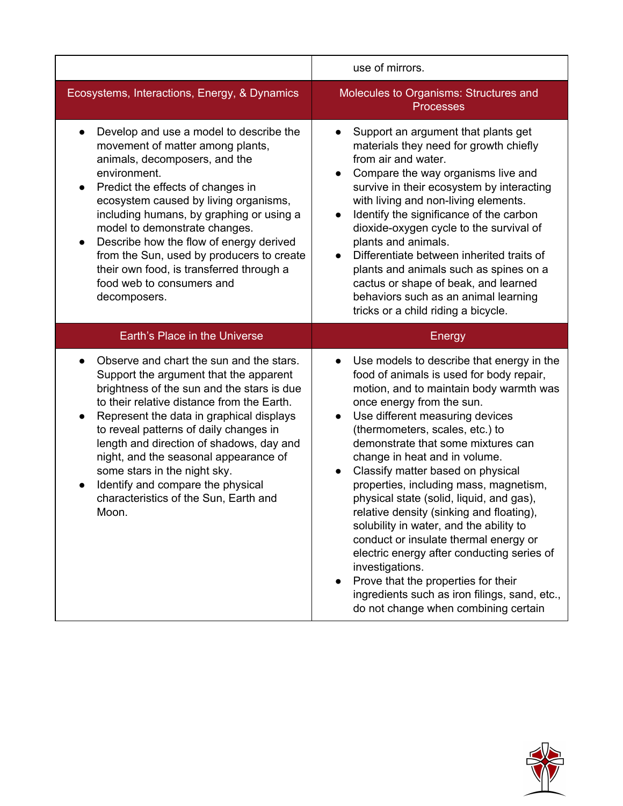|                                                                                                                                                                                                                                                                                                                                                                                                                                                                                                                 | use of mirrors.                                                                                                                                                                                                                                                                                                                                                                                                                                                                                                                                                                                                                                                                                                                                                                     |
|-----------------------------------------------------------------------------------------------------------------------------------------------------------------------------------------------------------------------------------------------------------------------------------------------------------------------------------------------------------------------------------------------------------------------------------------------------------------------------------------------------------------|-------------------------------------------------------------------------------------------------------------------------------------------------------------------------------------------------------------------------------------------------------------------------------------------------------------------------------------------------------------------------------------------------------------------------------------------------------------------------------------------------------------------------------------------------------------------------------------------------------------------------------------------------------------------------------------------------------------------------------------------------------------------------------------|
| Ecosystems, Interactions, Energy, & Dynamics                                                                                                                                                                                                                                                                                                                                                                                                                                                                    | Molecules to Organisms: Structures and<br><b>Processes</b>                                                                                                                                                                                                                                                                                                                                                                                                                                                                                                                                                                                                                                                                                                                          |
| Develop and use a model to describe the<br>$\bullet$<br>movement of matter among plants,<br>animals, decomposers, and the<br>environment.<br>Predict the effects of changes in<br>$\bullet$<br>ecosystem caused by living organisms,<br>including humans, by graphing or using a<br>model to demonstrate changes.<br>Describe how the flow of energy derived<br>$\bullet$<br>from the Sun, used by producers to create<br>their own food, is transferred through a<br>food web to consumers and<br>decomposers. | Support an argument that plants get<br>materials they need for growth chiefly<br>from air and water.<br>Compare the way organisms live and<br>survive in their ecosystem by interacting<br>with living and non-living elements.<br>Identify the significance of the carbon<br>$\bullet$<br>dioxide-oxygen cycle to the survival of<br>plants and animals.<br>Differentiate between inherited traits of<br>plants and animals such as spines on a<br>cactus or shape of beak, and learned<br>behaviors such as an animal learning<br>tricks or a child riding a bicycle.                                                                                                                                                                                                             |
| Earth's Place in the Universe                                                                                                                                                                                                                                                                                                                                                                                                                                                                                   | Energy                                                                                                                                                                                                                                                                                                                                                                                                                                                                                                                                                                                                                                                                                                                                                                              |
| Observe and chart the sun and the stars.<br>Support the argument that the apparent<br>brightness of the sun and the stars is due<br>to their relative distance from the Earth.<br>Represent the data in graphical displays<br>$\bullet$<br>to reveal patterns of daily changes in<br>length and direction of shadows, day and<br>night, and the seasonal appearance of<br>some stars in the night sky.<br>Identify and compare the physical<br>characteristics of the Sun, Earth and<br>Moon.                   | Use models to describe that energy in the<br>$\bullet$<br>food of animals is used for body repair,<br>motion, and to maintain body warmth was<br>once energy from the sun.<br>Use different measuring devices<br>(thermometers, scales, etc.) to<br>demonstrate that some mixtures can<br>change in heat and in volume.<br>Classify matter based on physical<br>properties, including mass, magnetism,<br>physical state (solid, liquid, and gas),<br>relative density (sinking and floating),<br>solubility in water, and the ability to<br>conduct or insulate thermal energy or<br>electric energy after conducting series of<br>investigations.<br>Prove that the properties for their<br>ingredients such as iron filings, sand, etc.,<br>do not change when combining certain |

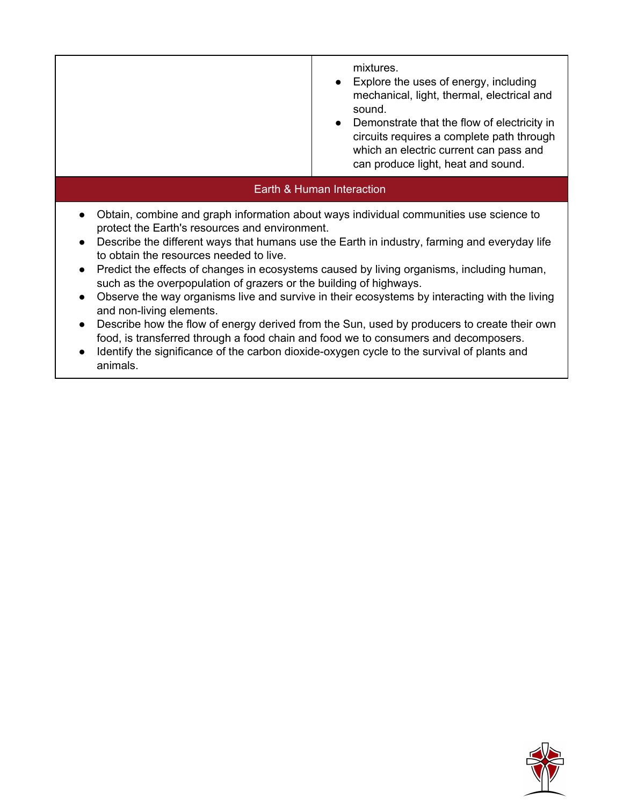|                                                                                                                                                                                                                                                                                       | mixtures.<br>Explore the uses of energy, including<br>mechanical, light, thermal, electrical and<br>sound.<br>• Demonstrate that the flow of electricity in<br>circuits requires a complete path through<br>which an electric current can pass and<br>can produce light, heat and sound.                                                                                                                                                                                                                                                                                                                                                                                 |
|---------------------------------------------------------------------------------------------------------------------------------------------------------------------------------------------------------------------------------------------------------------------------------------|--------------------------------------------------------------------------------------------------------------------------------------------------------------------------------------------------------------------------------------------------------------------------------------------------------------------------------------------------------------------------------------------------------------------------------------------------------------------------------------------------------------------------------------------------------------------------------------------------------------------------------------------------------------------------|
|                                                                                                                                                                                                                                                                                       | Earth & Human Interaction                                                                                                                                                                                                                                                                                                                                                                                                                                                                                                                                                                                                                                                |
| $\bullet$<br>protect the Earth's resources and environment.<br>$\bullet$<br>to obtain the resources needed to live.<br>$\bullet$<br>such as the overpopulation of grazers or the building of highways.<br>$\bullet$<br>and non-living elements.<br>$\bullet$<br>$\bullet$<br>animals. | Obtain, combine and graph information about ways individual communities use science to<br>Describe the different ways that humans use the Earth in industry, farming and everyday life<br>Predict the effects of changes in ecosystems caused by living organisms, including human,<br>Observe the way organisms live and survive in their ecosystems by interacting with the living<br>Describe how the flow of energy derived from the Sun, used by producers to create their own<br>food, is transferred through a food chain and food we to consumers and decomposers.<br>Identify the significance of the carbon dioxide-oxygen cycle to the survival of plants and |

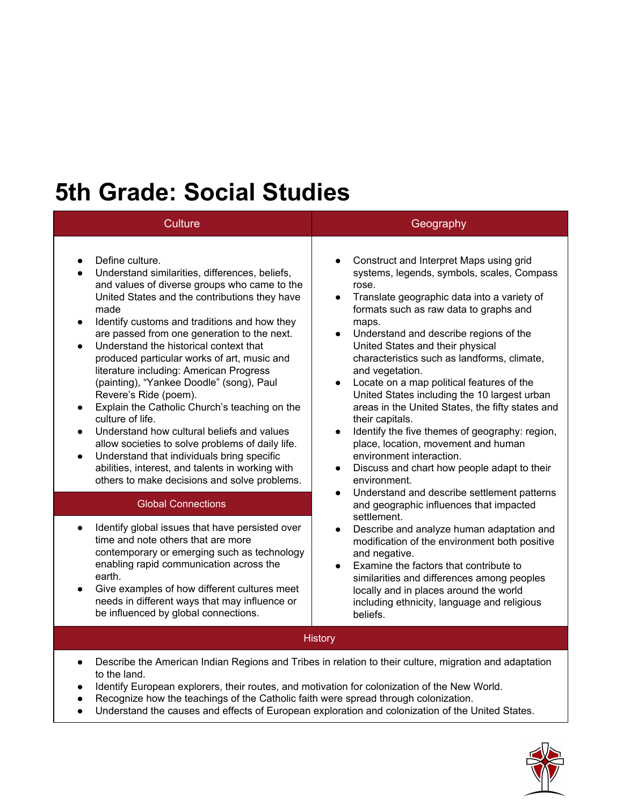### **5th Grade: Social Studies**

| <b>Culture</b>                                                                                                                                                                                                                                                                                                                                                                                                                                                                                                                                                                                                                                                                                                                                                                                                                                                                            | Geography                                                                                                                                                                                                                                                                                                                                                                                                                                                                                                                                                                                                                                                                                                                          |  |
|-------------------------------------------------------------------------------------------------------------------------------------------------------------------------------------------------------------------------------------------------------------------------------------------------------------------------------------------------------------------------------------------------------------------------------------------------------------------------------------------------------------------------------------------------------------------------------------------------------------------------------------------------------------------------------------------------------------------------------------------------------------------------------------------------------------------------------------------------------------------------------------------|------------------------------------------------------------------------------------------------------------------------------------------------------------------------------------------------------------------------------------------------------------------------------------------------------------------------------------------------------------------------------------------------------------------------------------------------------------------------------------------------------------------------------------------------------------------------------------------------------------------------------------------------------------------------------------------------------------------------------------|--|
| Define culture.<br>$\bullet$<br>Understand similarities, differences, beliefs,<br>and values of diverse groups who came to the<br>United States and the contributions they have<br>made<br>Identify customs and traditions and how they<br>$\bullet$<br>are passed from one generation to the next.<br>Understand the historical context that<br>$\bullet$<br>produced particular works of art, music and<br>literature including: American Progress<br>(painting), "Yankee Doodle" (song), Paul<br>Revere's Ride (poem).<br>Explain the Catholic Church's teaching on the<br>$\bullet$<br>culture of life.<br>Understand how cultural beliefs and values<br>$\bullet$<br>allow societies to solve problems of daily life.<br>Understand that individuals bring specific<br>$\bullet$<br>abilities, interest, and talents in working with<br>others to make decisions and solve problems. | Construct and Interpret Maps using grid<br>systems, legends, symbols, scales, Compass<br>rose.<br>Translate geographic data into a variety of<br>$\bullet$<br>formats such as raw data to graphs and<br>maps.<br>Understand and describe regions of the<br>United States and their physical<br>characteristics such as landforms, climate,<br>and vegetation.<br>Locate on a map political features of the<br>United States including the 10 largest urban<br>areas in the United States, the fifty states and<br>their capitals.<br>Identify the five themes of geography: region,<br>place, location, movement and human<br>environment interaction.<br>Discuss and chart how people adapt to their<br>$\bullet$<br>environment. |  |
| <b>Global Connections</b>                                                                                                                                                                                                                                                                                                                                                                                                                                                                                                                                                                                                                                                                                                                                                                                                                                                                 | Understand and describe settlement patterns<br>$\bullet$<br>and geographic influences that impacted                                                                                                                                                                                                                                                                                                                                                                                                                                                                                                                                                                                                                                |  |
| Identify global issues that have persisted over<br>time and note others that are more<br>contemporary or emerging such as technology<br>enabling rapid communication across the<br>earth.<br>Give examples of how different cultures meet<br>needs in different ways that may influence or<br>be influenced by global connections.                                                                                                                                                                                                                                                                                                                                                                                                                                                                                                                                                        | settlement.<br>Describe and analyze human adaptation and<br>$\bullet$<br>modification of the environment both positive<br>and negative.<br>Examine the factors that contribute to<br>$\bullet$<br>similarities and differences among peoples<br>locally and in places around the world<br>including ethnicity, language and religious<br>beliefs.                                                                                                                                                                                                                                                                                                                                                                                  |  |
| <b>History</b>                                                                                                                                                                                                                                                                                                                                                                                                                                                                                                                                                                                                                                                                                                                                                                                                                                                                            |                                                                                                                                                                                                                                                                                                                                                                                                                                                                                                                                                                                                                                                                                                                                    |  |
|                                                                                                                                                                                                                                                                                                                                                                                                                                                                                                                                                                                                                                                                                                                                                                                                                                                                                           | Describe the American Indian Regions and Tribes in relation to their culture, migration and adaptation                                                                                                                                                                                                                                                                                                                                                                                                                                                                                                                                                                                                                             |  |

- to the land.
- Identify European explorers, their routes, and motivation for colonization of the New World.
- Recognize how the teachings of the Catholic faith were spread through colonization.
- Understand the causes and effects of European exploration and colonization of the United States.

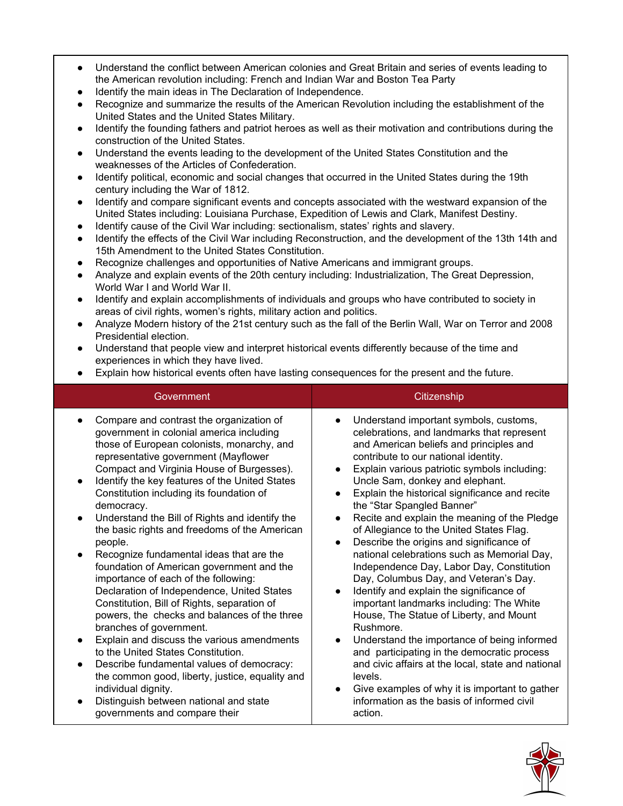- Understand the conflict between American colonies and Great Britain and series of events leading to the American revolution including: French and Indian War and Boston Tea Party
- Identify the main ideas in The Declaration of Independence.
- Recognize and summarize the results of the American Revolution including the establishment of the United States and the United States Military.
- Identify the founding fathers and patriot heroes as well as their motivation and contributions during the construction of the United States.
- Understand the events leading to the development of the United States Constitution and the weaknesses of the Articles of Confederation.
- Identify political, economic and social changes that occurred in the United States during the 19th century including the War of 1812.
- Identify and compare significant events and concepts associated with the westward expansion of the United States including: Louisiana Purchase, Expedition of Lewis and Clark, Manifest Destiny.
- Identify cause of the Civil War including: sectionalism, states' rights and slavery.
- Identify the effects of the Civil War including Reconstruction, and the development of the 13th 14th and 15th Amendment to the United States Constitution.
- Recognize challenges and opportunities of Native Americans and immigrant groups.
- Analyze and explain events of the 20th century including: Industrialization, The Great Depression, World War I and World War II.
- Identify and explain accomplishments of individuals and groups who have contributed to society in areas of civil rights, women's rights, military action and politics.
- Analyze Modern history of the 21st century such as the fall of the Berlin Wall, War on Terror and 2008 Presidential election.
- Understand that people view and interpret historical events differently because of the time and experiences in which they have lived.
- Explain how historical events often have lasting consequences for the present and the future.

| Government                                                                                                                                                                                                                                                                                                                                                                                                                                                                                                                                                                                                                                                                                                                                                                                                                                                                                                                                                                                                                                                                              | Citizenship                                                                                                                                                                                                                                                                                                                                                                                                                                                                                                                                                                                                                                                                                                                                                                                                                                                                                                                                                                                                                                                                                                                                               |
|-----------------------------------------------------------------------------------------------------------------------------------------------------------------------------------------------------------------------------------------------------------------------------------------------------------------------------------------------------------------------------------------------------------------------------------------------------------------------------------------------------------------------------------------------------------------------------------------------------------------------------------------------------------------------------------------------------------------------------------------------------------------------------------------------------------------------------------------------------------------------------------------------------------------------------------------------------------------------------------------------------------------------------------------------------------------------------------------|-----------------------------------------------------------------------------------------------------------------------------------------------------------------------------------------------------------------------------------------------------------------------------------------------------------------------------------------------------------------------------------------------------------------------------------------------------------------------------------------------------------------------------------------------------------------------------------------------------------------------------------------------------------------------------------------------------------------------------------------------------------------------------------------------------------------------------------------------------------------------------------------------------------------------------------------------------------------------------------------------------------------------------------------------------------------------------------------------------------------------------------------------------------|
| Compare and contrast the organization of<br>government in colonial america including<br>those of European colonists, monarchy, and<br>representative government (Mayflower<br>Compact and Virginia House of Burgesses).<br>Identify the key features of the United States<br>$\bullet$<br>Constitution including its foundation of<br>democracy.<br>Understand the Bill of Rights and identify the<br>$\bullet$<br>the basic rights and freedoms of the American<br>people.<br>Recognize fundamental ideas that are the<br>$\bullet$<br>foundation of American government and the<br>importance of each of the following:<br>Declaration of Independence, United States<br>Constitution, Bill of Rights, separation of<br>powers, the checks and balances of the three<br>branches of government.<br>Explain and discuss the various amendments<br>to the United States Constitution.<br>Describe fundamental values of democracy:<br>the common good, liberty, justice, equality and<br>individual dignity.<br>Distinguish between national and state<br>governments and compare their | Understand important symbols, customs,<br>$\bullet$<br>celebrations, and landmarks that represent<br>and American beliefs and principles and<br>contribute to our national identity.<br>Explain various patriotic symbols including:<br>$\bullet$<br>Uncle Sam, donkey and elephant.<br>Explain the historical significance and recite<br>$\bullet$<br>the "Star Spangled Banner"<br>Recite and explain the meaning of the Pledge<br>$\bullet$<br>of Allegiance to the United States Flag.<br>Describe the origins and significance of<br>$\bullet$<br>national celebrations such as Memorial Day,<br>Independence Day, Labor Day, Constitution<br>Day, Columbus Day, and Veteran's Day.<br>Identify and explain the significance of<br>$\bullet$<br>important landmarks including: The White<br>House, The Statue of Liberty, and Mount<br>Rushmore.<br>Understand the importance of being informed<br>$\bullet$<br>and participating in the democratic process<br>and civic affairs at the local, state and national<br>levels.<br>Give examples of why it is important to gather<br>$\bullet$<br>information as the basis of informed civil<br>action. |